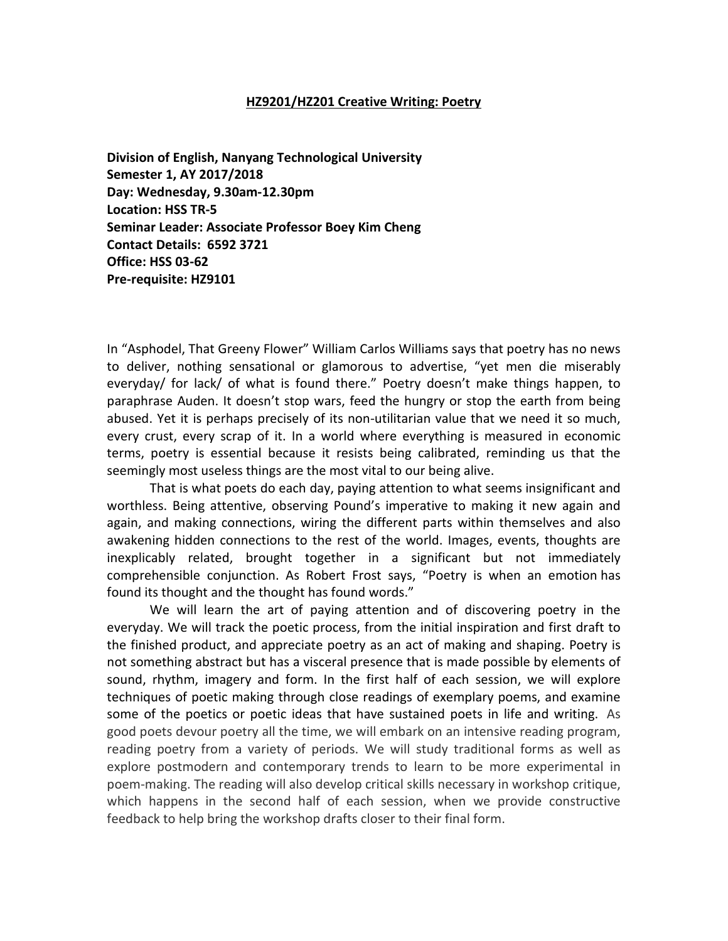#### **HZ9201/HZ201 Creative Writing: Poetry**

**Division of English, Nanyang Technological University Semester 1, AY 2017/2018 Day: Wednesday, 9.30am-12.30pm Location: HSS TR-5 Seminar Leader: Associate Professor Boey Kim Cheng Contact Details: 6592 3721 Office: HSS 03-62 Pre-requisite: HZ9101**

In "Asphodel, That Greeny Flower" William Carlos Williams says that poetry has no news to deliver, nothing sensational or glamorous to advertise, "yet men die miserably everyday/ for lack/ of what is found there." Poetry doesn't make things happen, to paraphrase Auden. It doesn't stop wars, feed the hungry or stop the earth from being abused. Yet it is perhaps precisely of its non-utilitarian value that we need it so much, every crust, every scrap of it. In a world where everything is measured in economic terms, poetry is essential because it resists being calibrated, reminding us that the seemingly most useless things are the most vital to our being alive.

That is what poets do each day, paying attention to what seems insignificant and worthless. Being attentive, observing Pound's imperative to making it new again and again, and making connections, wiring the different parts within themselves and also awakening hidden connections to the rest of the world. Images, events, thoughts are inexplicably related, brought together in a significant but not immediately comprehensible conjunction. As Robert Frost says, "Poetry is when an emotion has found its thought and the thought has found words."

We will learn the art of paying attention and of discovering poetry in the everyday. We will track the poetic process, from the initial inspiration and first draft to the finished product, and appreciate poetry as an act of making and shaping. Poetry is not something abstract but has a visceral presence that is made possible by elements of sound, rhythm, imagery and form. In the first half of each session, we will explore techniques of poetic making through close readings of exemplary poems, and examine some of the poetics or poetic ideas that have sustained poets in life and writing. As good poets devour poetry all the time, we will embark on an intensive reading program, reading poetry from a variety of periods. We will study traditional forms as well as explore postmodern and contemporary trends to learn to be more experimental in poem-making. The reading will also develop critical skills necessary in workshop critique, which happens in the second half of each session, when we provide constructive feedback to help bring the workshop drafts closer to their final form.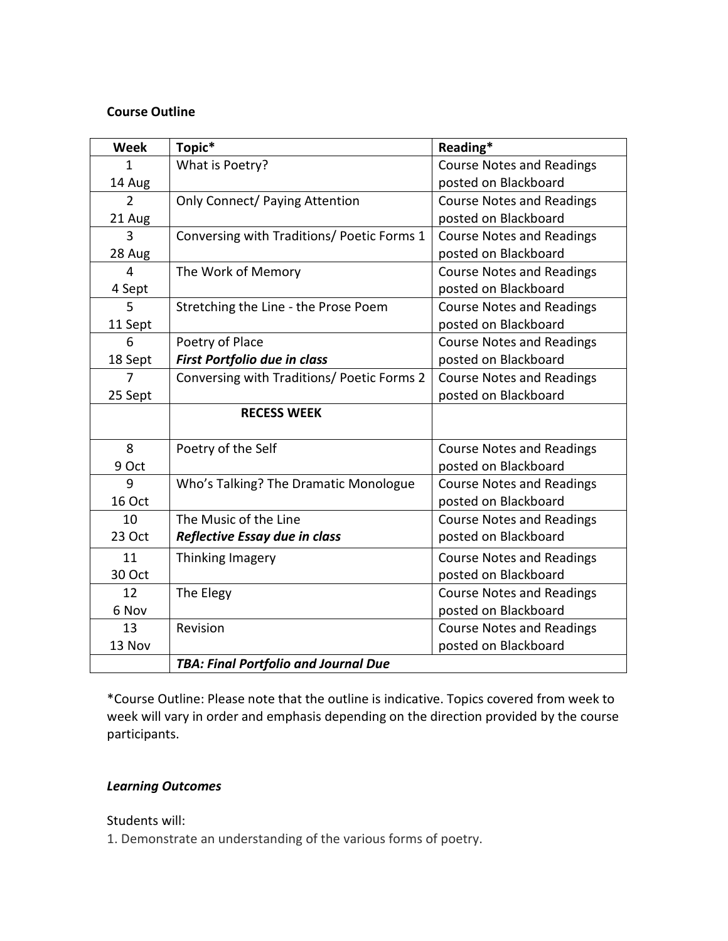## **Course Outline**

| <b>Week</b>   | Topic*                                      | Reading*                         |
|---------------|---------------------------------------------|----------------------------------|
| 1             | What is Poetry?                             | <b>Course Notes and Readings</b> |
| 14 Aug        |                                             | posted on Blackboard             |
| $\mathcal{P}$ | <b>Only Connect/ Paying Attention</b>       | <b>Course Notes and Readings</b> |
| 21 Aug        |                                             | posted on Blackboard             |
| 3             | Conversing with Traditions/ Poetic Forms 1  | <b>Course Notes and Readings</b> |
| 28 Aug        |                                             | posted on Blackboard             |
| 4             | The Work of Memory                          | <b>Course Notes and Readings</b> |
| 4 Sept        |                                             | posted on Blackboard             |
| 5             | Stretching the Line - the Prose Poem        | <b>Course Notes and Readings</b> |
| 11 Sept       |                                             | posted on Blackboard             |
| 6             | Poetry of Place                             | <b>Course Notes and Readings</b> |
| 18 Sept       | First Portfolio due in class                | posted on Blackboard             |
| 7             | Conversing with Traditions/ Poetic Forms 2  | <b>Course Notes and Readings</b> |
| 25 Sept       |                                             | posted on Blackboard             |
|               | <b>RECESS WEEK</b>                          |                                  |
| 8             | Poetry of the Self                          | <b>Course Notes and Readings</b> |
| 9 Oct         |                                             | posted on Blackboard             |
| 9             | Who's Talking? The Dramatic Monologue       | <b>Course Notes and Readings</b> |
| 16 Oct        |                                             | posted on Blackboard             |
| 10            | The Music of the Line                       | <b>Course Notes and Readings</b> |
| 23 Oct        | Reflective Essay due in class               | posted on Blackboard             |
| 11            | Thinking Imagery                            | <b>Course Notes and Readings</b> |
| 30 Oct        |                                             | posted on Blackboard             |
| 12            | The Elegy                                   | <b>Course Notes and Readings</b> |
| 6 Nov         |                                             | posted on Blackboard             |
| 13            | Revision                                    | <b>Course Notes and Readings</b> |
| 13 Nov        |                                             | posted on Blackboard             |
|               | <b>TBA: Final Portfolio and Journal Due</b> |                                  |

\*Course Outline: Please note that the outline is indicative. Topics covered from week to week will vary in order and emphasis depending on the direction provided by the course participants.

#### *Learning Outcomes*

Students will:

1. Demonstrate an understanding of the various forms of poetry.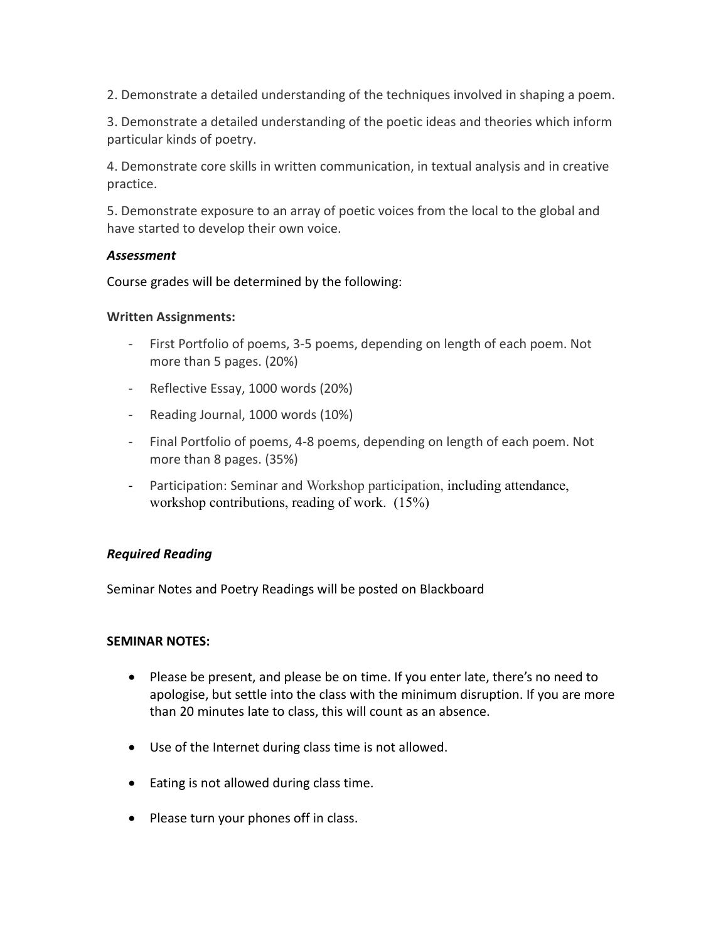2. Demonstrate a detailed understanding of the techniques involved in shaping a poem.

3. Demonstrate a detailed understanding of the poetic ideas and theories which inform particular kinds of poetry.

4. Demonstrate core skills in written communication, in textual analysis and in creative practice.

5. Demonstrate exposure to an array of poetic voices from the local to the global and have started to develop their own voice.

#### *Assessment*

Course grades will be determined by the following:

#### **Written Assignments:**

- First Portfolio of poems, 3-5 poems, depending on length of each poem. Not more than 5 pages. (20%)
- Reflective Essay, 1000 words (20%)
- Reading Journal, 1000 words (10%)
- Final Portfolio of poems, 4-8 poems, depending on length of each poem. Not more than 8 pages. (35%)
- Participation: Seminar and Workshop participation, including attendance, workshop contributions, reading of work. (15%)

#### *Required Reading*

Seminar Notes and Poetry Readings will be posted on Blackboard

#### **SEMINAR NOTES:**

- Please be present, and please be on time. If you enter late, there's no need to apologise, but settle into the class with the minimum disruption. If you are more than 20 minutes late to class, this will count as an absence.
- Use of the Internet during class time is not allowed.
- Eating is not allowed during class time.
- Please turn your phones off in class.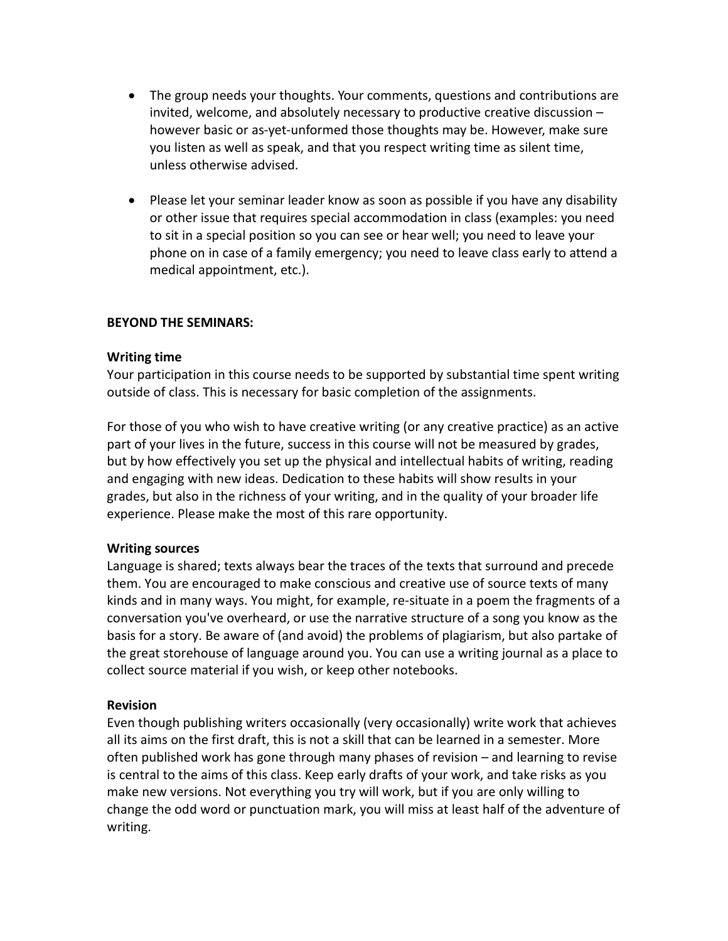- The group needs your thoughts. Your comments, questions and contributions are invited, welcome, and absolutely necessary to productive creative discussion – however basic or as-yet-unformed those thoughts may be. However, make sure you listen as well as speak, and that you respect writing time as silent time, unless otherwise advised.
- Please let your seminar leader know as soon as possible if you have any disability or other issue that requires special accommodation in class (examples: you need to sit in a special position so you can see or hear well; you need to leave your phone on in case of a family emergency; you need to leave class early to attend a medical appointment, etc.).

#### **BEYOND THE SEMINARS:**

#### **Writing time**

Your participation in this course needs to be supported by substantial time spent writing outside of class. This is necessary for basic completion of the assignments.

For those of you who wish to have creative writing (or any creative practice) as an active part of your lives in the future, success in this course will not be measured by grades, but by how effectively you set up the physical and intellectual habits of writing, reading and engaging with new ideas. Dedication to these habits will show results in your grades, but also in the richness of your writing, and in the quality of your broader life experience. Please make the most of this rare opportunity.

#### **Writing sources**

Language is shared; texts always bear the traces of the texts that surround and precede them. You are encouraged to make conscious and creative use of source texts of many kinds and in many ways. You might, for example, re-situate in a poem the fragments of a conversation you've overheard, or use the narrative structure of a song you know as the basis for a story. Be aware of (and avoid) the problems of plagiarism, but also partake of the great storehouse of language around you. You can use a writing journal as a place to collect source material if you wish, or keep other notebooks.

#### **Revision**

Even though publishing writers occasionally (very occasionally) write work that achieves all its aims on the first draft, this is not a skill that can be learned in a semester. More often published work has gone through many phases of revision – and learning to revise is central to the aims of this class. Keep early drafts of your work, and take risks as you make new versions. Not everything you try will work, but if you are only willing to change the odd word or punctuation mark, you will miss at least half of the adventure of writing.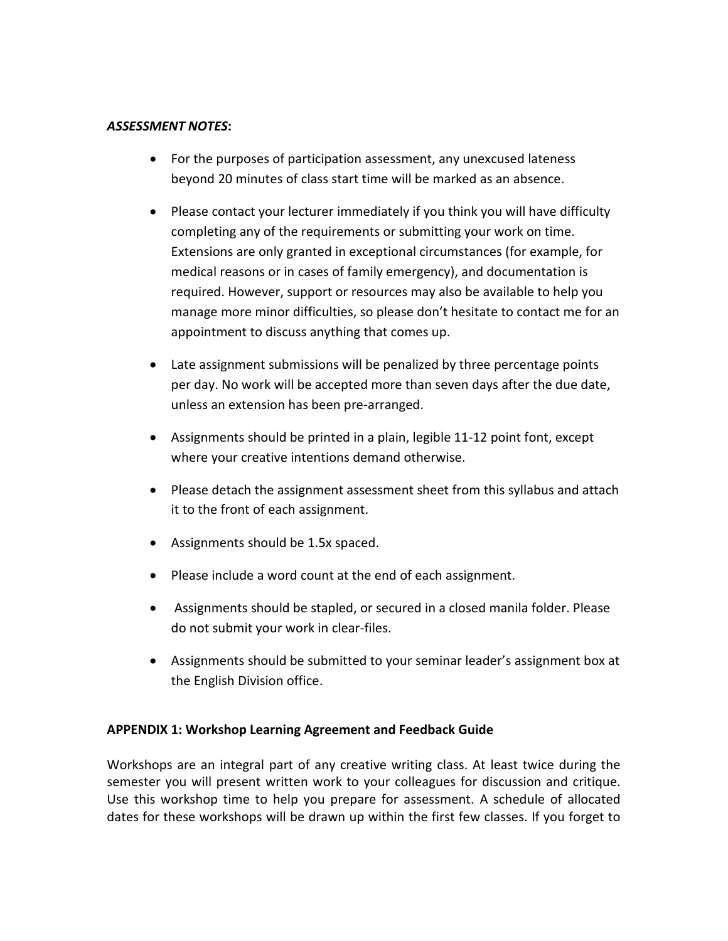#### *ASSESSMENT NOTES***:**

- For the purposes of participation assessment, any unexcused lateness beyond 20 minutes of class start time will be marked as an absence.
- Please contact your lecturer immediately if you think you will have difficulty completing any of the requirements or submitting your work on time. Extensions are only granted in exceptional circumstances (for example, for medical reasons or in cases of family emergency), and documentation is required. However, support or resources may also be available to help you manage more minor difficulties, so please don't hesitate to contact me for an appointment to discuss anything that comes up.
- Late assignment submissions will be penalized by three percentage points per day. No work will be accepted more than seven days after the due date, unless an extension has been pre-arranged.
- Assignments should be printed in a plain, legible 11-12 point font, except where your creative intentions demand otherwise.
- Please detach the assignment assessment sheet from this syllabus and attach it to the front of each assignment.
- Assignments should be 1.5x spaced.
- Please include a word count at the end of each assignment.
- Assignments should be stapled, or secured in a closed manila folder. Please do not submit your work in clear-files.
- Assignments should be submitted to your seminar leader's assignment box at the English Division office.

#### **APPENDIX 1: Workshop Learning Agreement and Feedback Guide**

Workshops are an integral part of any creative writing class. At least twice during the semester you will present written work to your colleagues for discussion and critique. Use this workshop time to help you prepare for assessment. A schedule of allocated dates for these workshops will be drawn up within the first few classes. If you forget to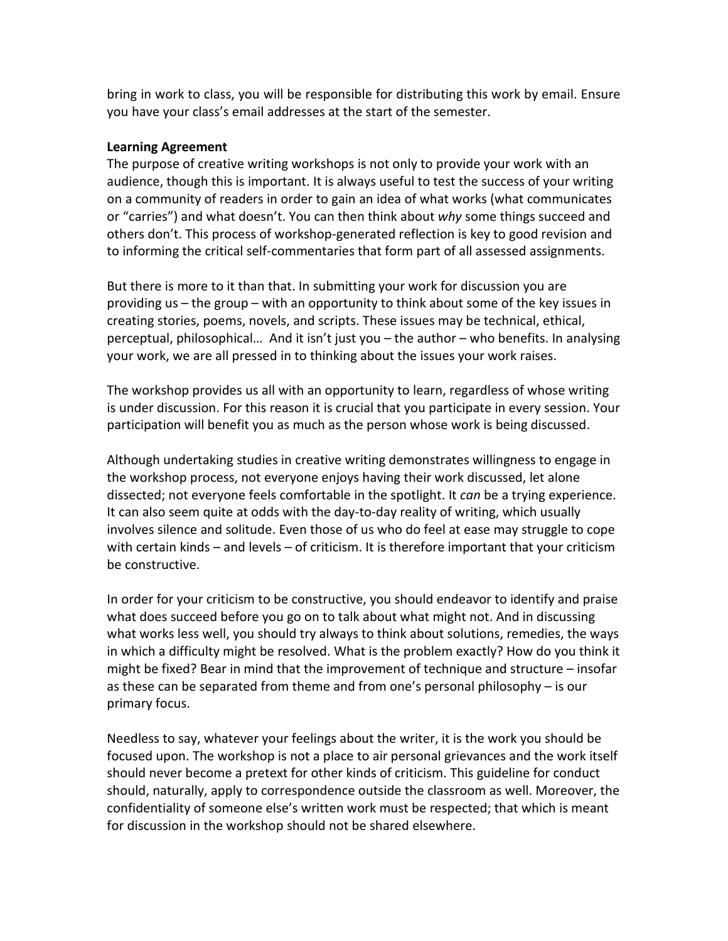bring in work to class, you will be responsible for distributing this work by email. Ensure you have your class's email addresses at the start of the semester.

#### **Learning Agreement**

The purpose of creative writing workshops is not only to provide your work with an audience, though this is important. It is always useful to test the success of your writing on a community of readers in order to gain an idea of what works (what communicates or "carries") and what doesn't. You can then think about *why* some things succeed and others don't. This process of workshop-generated reflection is key to good revision and to informing the critical self-commentaries that form part of all assessed assignments.

But there is more to it than that. In submitting your work for discussion you are providing us – the group – with an opportunity to think about some of the key issues in creating stories, poems, novels, and scripts. These issues may be technical, ethical, perceptual, philosophical… And it isn't just you – the author – who benefits. In analysing your work, we are all pressed in to thinking about the issues your work raises.

The workshop provides us all with an opportunity to learn, regardless of whose writing is under discussion. For this reason it is crucial that you participate in every session. Your participation will benefit you as much as the person whose work is being discussed.

Although undertaking studies in creative writing demonstrates willingness to engage in the workshop process, not everyone enjoys having their work discussed, let alone dissected; not everyone feels comfortable in the spotlight. It *can* be a trying experience. It can also seem quite at odds with the day-to-day reality of writing, which usually involves silence and solitude. Even those of us who do feel at ease may struggle to cope with certain kinds – and levels – of criticism. It is therefore important that your criticism be constructive.

In order for your criticism to be constructive, you should endeavor to identify and praise what does succeed before you go on to talk about what might not. And in discussing what works less well, you should try always to think about solutions, remedies, the ways in which a difficulty might be resolved. What is the problem exactly? How do you think it might be fixed? Bear in mind that the improvement of technique and structure – insofar as these can be separated from theme and from one's personal philosophy – is our primary focus.

Needless to say, whatever your feelings about the writer, it is the work you should be focused upon. The workshop is not a place to air personal grievances and the work itself should never become a pretext for other kinds of criticism. This guideline for conduct should, naturally, apply to correspondence outside the classroom as well. Moreover, the confidentiality of someone else's written work must be respected; that which is meant for discussion in the workshop should not be shared elsewhere.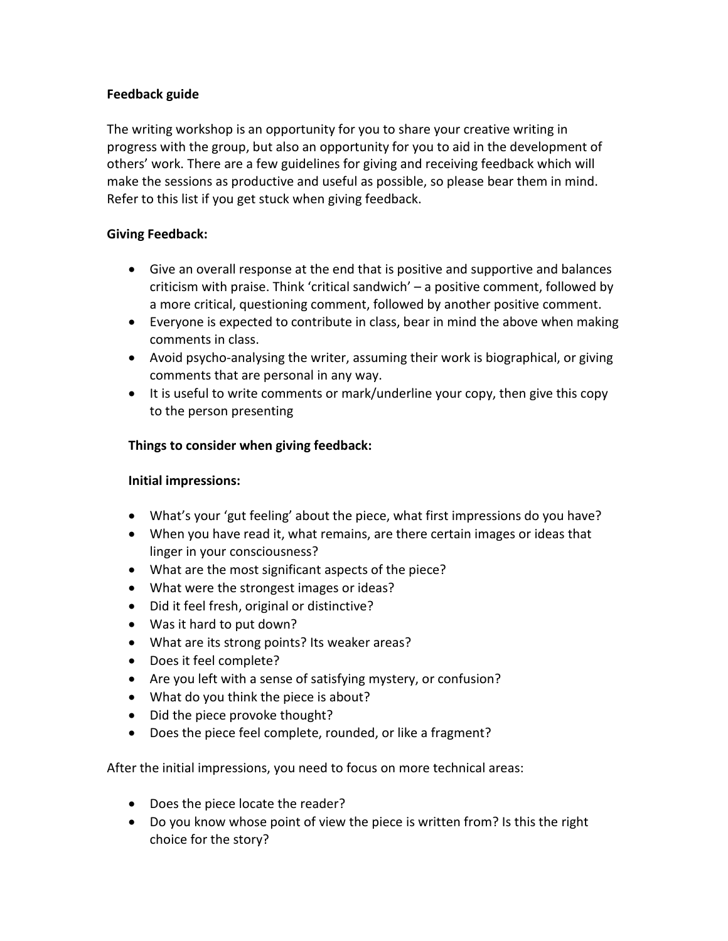## **Feedback guide**

The writing workshop is an opportunity for you to share your creative writing in progress with the group, but also an opportunity for you to aid in the development of others' work. There are a few guidelines for giving and receiving feedback which will make the sessions as productive and useful as possible, so please bear them in mind. Refer to this list if you get stuck when giving feedback.

## **Giving Feedback:**

- Give an overall response at the end that is positive and supportive and balances criticism with praise. Think 'critical sandwich' – a positive comment, followed by a more critical, questioning comment, followed by another positive comment.
- Everyone is expected to contribute in class, bear in mind the above when making comments in class.
- Avoid psycho-analysing the writer, assuming their work is biographical, or giving comments that are personal in any way.
- It is useful to write comments or mark/underline your copy, then give this copy to the person presenting

### **Things to consider when giving feedback:**

#### **Initial impressions:**

- What's your 'gut feeling' about the piece, what first impressions do you have?
- When you have read it, what remains, are there certain images or ideas that linger in your consciousness?
- What are the most significant aspects of the piece?
- What were the strongest images or ideas?
- Did it feel fresh, original or distinctive?
- Was it hard to put down?
- What are its strong points? Its weaker areas?
- Does it feel complete?
- Are you left with a sense of satisfying mystery, or confusion?
- What do you think the piece is about?
- Did the piece provoke thought?
- Does the piece feel complete, rounded, or like a fragment?

After the initial impressions, you need to focus on more technical areas:

- Does the piece locate the reader?
- Do you know whose point of view the piece is written from? Is this the right choice for the story?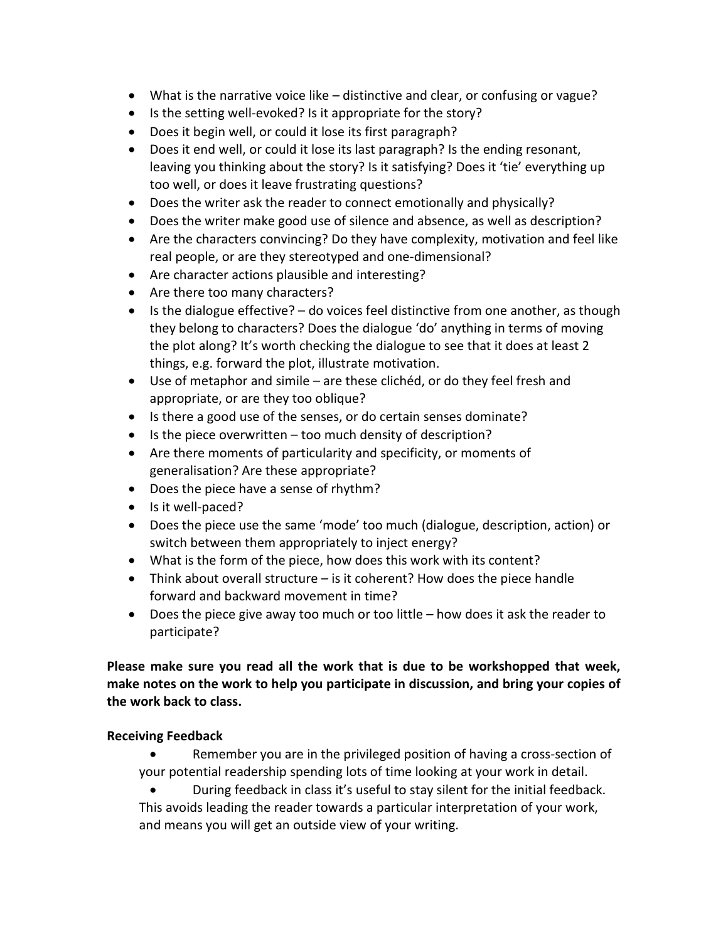- What is the narrative voice like distinctive and clear, or confusing or vague?
- Is the setting well-evoked? Is it appropriate for the story?
- Does it begin well, or could it lose its first paragraph?
- Does it end well, or could it lose its last paragraph? Is the ending resonant, leaving you thinking about the story? Is it satisfying? Does it 'tie' everything up too well, or does it leave frustrating questions?
- Does the writer ask the reader to connect emotionally and physically?
- Does the writer make good use of silence and absence, as well as description?
- Are the characters convincing? Do they have complexity, motivation and feel like real people, or are they stereotyped and one-dimensional?
- Are character actions plausible and interesting?
- Are there too many characters?
- $\bullet$  Is the dialogue effective?  $-$  do voices feel distinctive from one another, as though they belong to characters? Does the dialogue 'do' anything in terms of moving the plot along? It's worth checking the dialogue to see that it does at least 2 things, e.g. forward the plot, illustrate motivation.
- Use of metaphor and simile are these clichéd, or do they feel fresh and appropriate, or are they too oblique?
- Is there a good use of the senses, or do certain senses dominate?
- Is the piece overwritten too much density of description?
- Are there moments of particularity and specificity, or moments of generalisation? Are these appropriate?
- Does the piece have a sense of rhythm?
- Is it well-paced?
- Does the piece use the same 'mode' too much (dialogue, description, action) or switch between them appropriately to inject energy?
- What is the form of the piece, how does this work with its content?
- Think about overall structure is it coherent? How does the piece handle forward and backward movement in time?
- Does the piece give away too much or too little how does it ask the reader to participate?

# **Please make sure you read all the work that is due to be workshopped that week, make notes on the work to help you participate in discussion, and bring your copies of the work back to class.**

## **Receiving Feedback**

- Remember you are in the privileged position of having a cross-section of your potential readership spending lots of time looking at your work in detail.
- During feedback in class it's useful to stay silent for the initial feedback. This avoids leading the reader towards a particular interpretation of your work, and means you will get an outside view of your writing.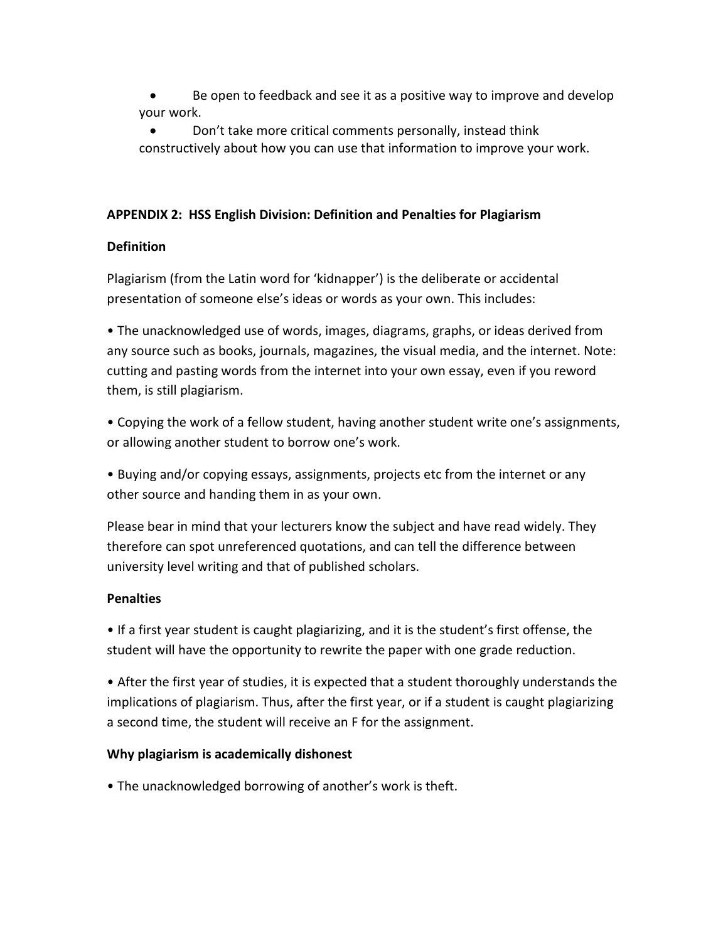Be open to feedback and see it as a positive way to improve and develop your work.

• Don't take more critical comments personally, instead think constructively about how you can use that information to improve your work.

## **APPENDIX 2: HSS English Division: Definition and Penalties for Plagiarism**

## **Definition**

Plagiarism (from the Latin word for 'kidnapper') is the deliberate or accidental presentation of someone else's ideas or words as your own. This includes:

• The unacknowledged use of words, images, diagrams, graphs, or ideas derived from any source such as books, journals, magazines, the visual media, and the internet. Note: cutting and pasting words from the internet into your own essay, even if you reword them, is still plagiarism.

• Copying the work of a fellow student, having another student write one's assignments, or allowing another student to borrow one's work.

• Buying and/or copying essays, assignments, projects etc from the internet or any other source and handing them in as your own.

Please bear in mind that your lecturers know the subject and have read widely. They therefore can spot unreferenced quotations, and can tell the difference between university level writing and that of published scholars.

## **Penalties**

• If a first year student is caught plagiarizing, and it is the student's first offense, the student will have the opportunity to rewrite the paper with one grade reduction.

• After the first year of studies, it is expected that a student thoroughly understands the implications of plagiarism. Thus, after the first year, or if a student is caught plagiarizing a second time, the student will receive an F for the assignment.

## **Why plagiarism is academically dishonest**

• The unacknowledged borrowing of another's work is theft.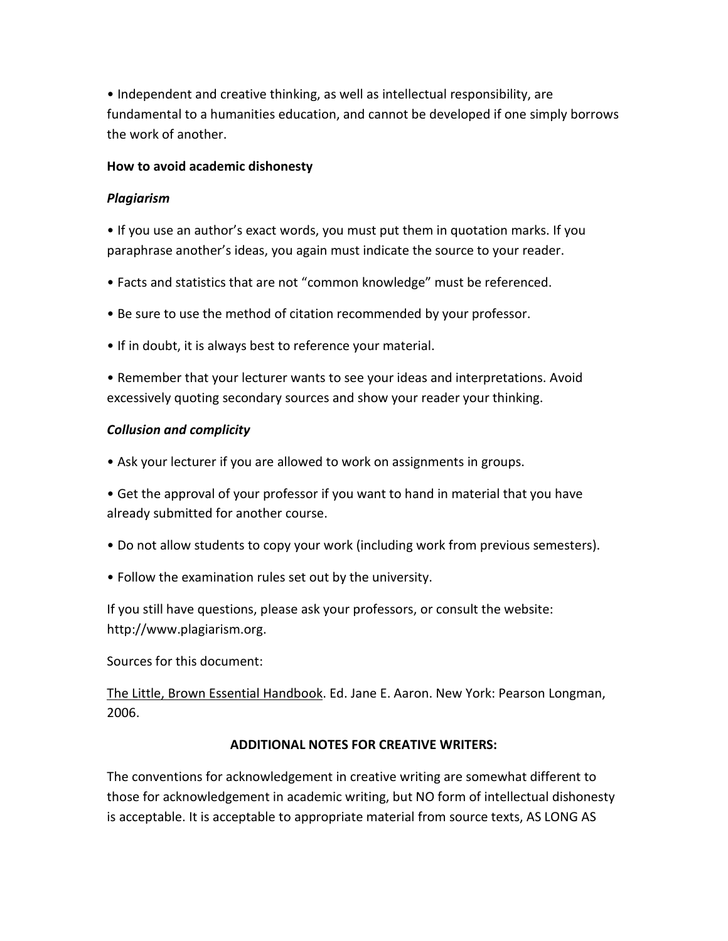• Independent and creative thinking, as well as intellectual responsibility, are fundamental to a humanities education, and cannot be developed if one simply borrows the work of another.

## **How to avoid academic dishonesty**

### *Plagiarism*

• If you use an author's exact words, you must put them in quotation marks. If you paraphrase another's ideas, you again must indicate the source to your reader.

- Facts and statistics that are not "common knowledge" must be referenced.
- Be sure to use the method of citation recommended by your professor.
- If in doubt, it is always best to reference your material.

• Remember that your lecturer wants to see your ideas and interpretations. Avoid excessively quoting secondary sources and show your reader your thinking.

### *Collusion and complicity*

• Ask your lecturer if you are allowed to work on assignments in groups.

• Get the approval of your professor if you want to hand in material that you have already submitted for another course.

- Do not allow students to copy your work (including work from previous semesters).
- Follow the examination rules set out by the university.

If you still have questions, please ask your professors, or consult the website: http://www.plagiarism.org.

Sources for this document:

The Little, Brown Essential Handbook. Ed. Jane E. Aaron. New York: Pearson Longman, 2006.

## **ADDITIONAL NOTES FOR CREATIVE WRITERS:**

The conventions for acknowledgement in creative writing are somewhat different to those for acknowledgement in academic writing, but NO form of intellectual dishonesty is acceptable. It is acceptable to appropriate material from source texts, AS LONG AS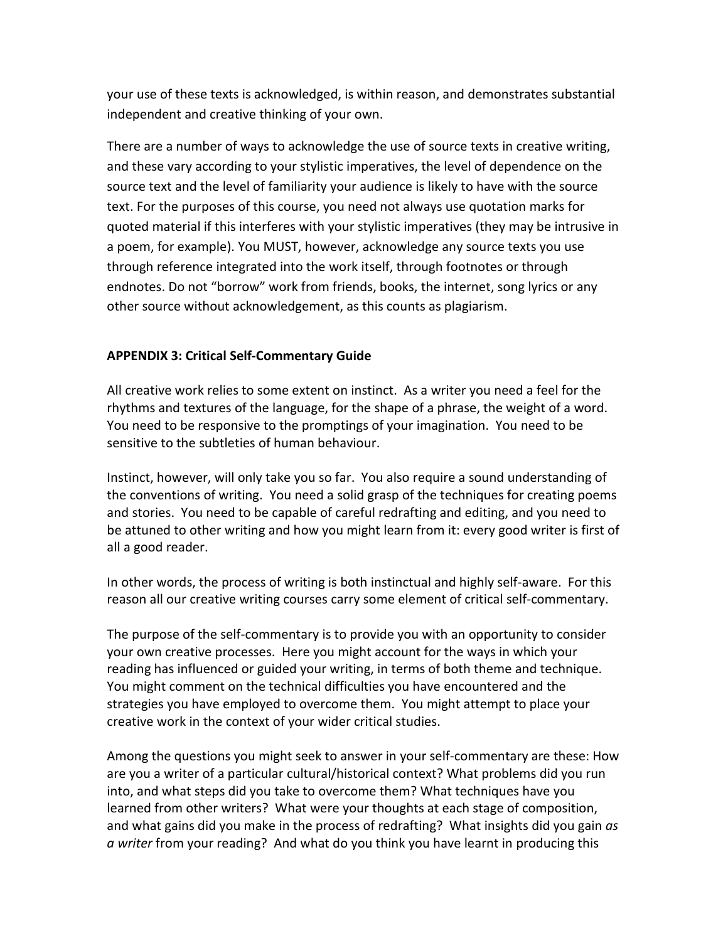your use of these texts is acknowledged, is within reason, and demonstrates substantial independent and creative thinking of your own.

There are a number of ways to acknowledge the use of source texts in creative writing, and these vary according to your stylistic imperatives, the level of dependence on the source text and the level of familiarity your audience is likely to have with the source text. For the purposes of this course, you need not always use quotation marks for quoted material if this interferes with your stylistic imperatives (they may be intrusive in a poem, for example). You MUST, however, acknowledge any source texts you use through reference integrated into the work itself, through footnotes or through endnotes. Do not "borrow" work from friends, books, the internet, song lyrics or any other source without acknowledgement, as this counts as plagiarism.

### **APPENDIX 3: Critical Self-Commentary Guide**

All creative work relies to some extent on instinct. As a writer you need a feel for the rhythms and textures of the language, for the shape of a phrase, the weight of a word. You need to be responsive to the promptings of your imagination. You need to be sensitive to the subtleties of human behaviour.

Instinct, however, will only take you so far. You also require a sound understanding of the conventions of writing. You need a solid grasp of the techniques for creating poems and stories. You need to be capable of careful redrafting and editing, and you need to be attuned to other writing and how you might learn from it: every good writer is first of all a good reader.

In other words, the process of writing is both instinctual and highly self-aware. For this reason all our creative writing courses carry some element of critical self-commentary.

The purpose of the self-commentary is to provide you with an opportunity to consider your own creative processes. Here you might account for the ways in which your reading has influenced or guided your writing, in terms of both theme and technique. You might comment on the technical difficulties you have encountered and the strategies you have employed to overcome them. You might attempt to place your creative work in the context of your wider critical studies.

Among the questions you might seek to answer in your self-commentary are these: How are you a writer of a particular cultural/historical context? What problems did you run into, and what steps did you take to overcome them? What techniques have you learned from other writers? What were your thoughts at each stage of composition, and what gains did you make in the process of redrafting? What insights did you gain *as a writer* from your reading? And what do you think you have learnt in producing this